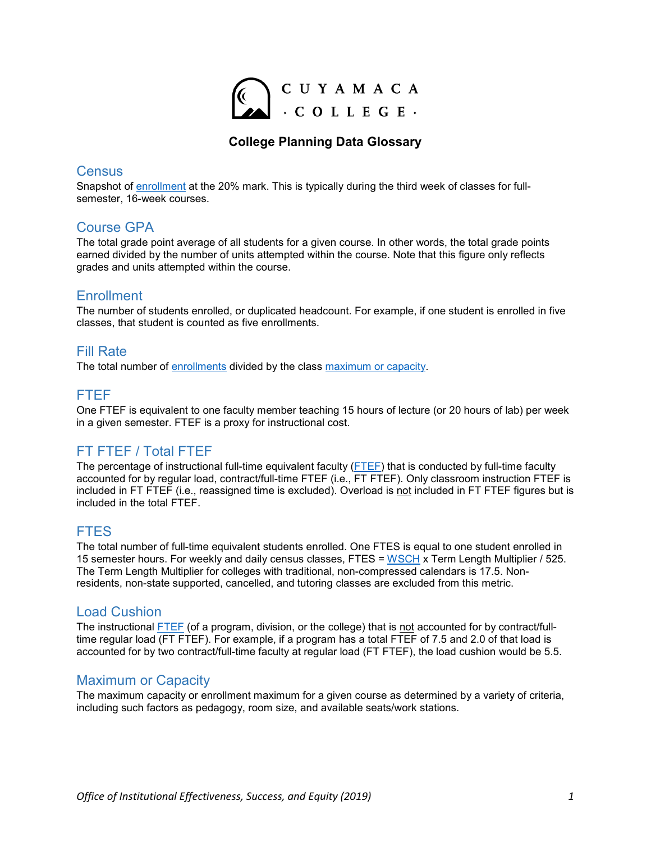

### **College Planning Data Glossary**

### **Census**

Snapshot of [enrollment](#page-0-0) at the 20% mark. This is typically during the third week of classes for fullsemester, 16-week courses.

## Course GPA

The total grade point average of all students for a given course. In other words, the total grade points earned divided by the number of units attempted within the course. Note that this figure only reflects grades and units attempted within the course.

### <span id="page-0-0"></span>**Enrollment**

The number of students enrolled, or duplicated headcount. For example, if one student is enrolled in five classes, that student is counted as five enrollments.

### Fill Rate

The total number of [enrollments](#page-0-0) divided by the class [maximum or capacity.](#page-0-1)

## <span id="page-0-2"></span>FTEF

One FTEF is equivalent to one faculty member teaching 15 hours of lecture (or 20 hours of lab) per week in a given semester. FTEF is a proxy for instructional cost.

# FT FTEF / Total FTEF

The percentage of instructional full-time equivalent faculty [\(FTEF\)](#page-0-2) that is conducted by full-time faculty accounted for by regular load, contract/full-time FTEF (i.e., FT FTEF). Only classroom instruction FTEF is included in FT FTEF (i.e., reassigned time is excluded). Overload is not included in FT FTEF figures but is included in the total FTEF.

### FTES

The total number of full-time equivalent students enrolled. One FTES is equal to one student enrolled in 15 semester hours. For weekly and daily census classes, FTES = [WSCH](#page-1-0) x Term Length Multiplier / 525. The Term Length Multiplier for colleges with traditional, non-compressed calendars is 17.5. Nonresidents, non-state supported, cancelled, and tutoring classes are excluded from this metric.

### Load Cushion

The instructional [FTEF](#page-0-2) (of a program, division, or the college) that is not accounted for by contract/fulltime regular load (FT FTEF). For example, if a program has a total FTEF of 7.5 and 2.0 of that load is accounted for by two contract/full-time faculty at regular load (FT FTEF), the load cushion would be 5.5.

### <span id="page-0-1"></span>Maximum or Capacity

The maximum capacity or enrollment maximum for a given course as determined by a variety of criteria, including such factors as pedagogy, room size, and available seats/work stations.